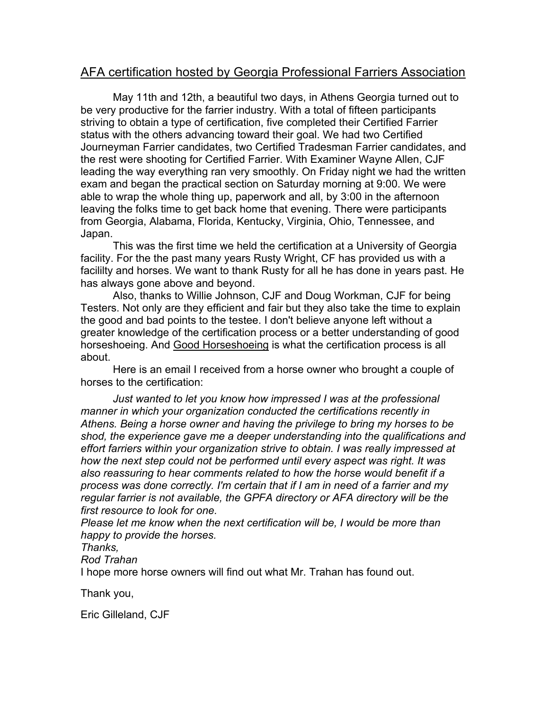## AFA certification hosted by Georgia Professional Farriers Association

 May 11th and 12th, a beautiful two days, in Athens Georgia turned out to be very productive for the farrier industry. With a total of fifteen participants striving to obtain a type of certification, five completed their Certified Farrier status with the others advancing toward their goal. We had two Certified Journeyman Farrier candidates, two Certified Tradesman Farrier candidates, and the rest were shooting for Certified Farrier. With Examiner Wayne Allen, CJF leading the way everything ran very smoothly. On Friday night we had the written exam and began the practical section on Saturday morning at 9:00. We were able to wrap the whole thing up, paperwork and all, by 3:00 in the afternoon leaving the folks time to get back home that evening. There were participants from Georgia, Alabama, Florida, Kentucky, Virginia, Ohio, Tennessee, and Japan.

 This was the first time we held the certification at a University of Georgia facility. For the the past many years Rusty Wright, CF has provided us with a facililty and horses. We want to thank Rusty for all he has done in years past. He has always gone above and beyond.

 Also, thanks to Willie Johnson, CJF and Doug Workman, CJF for being Testers. Not only are they efficient and fair but they also take the time to explain the good and bad points to the testee. I don't believe anyone left without a greater knowledge of the certification process or a better understanding of good horseshoeing. And Good Horseshoeing is what the certification process is all about.

 Here is an email I received from a horse owner who brought a couple of horses to the certification:

 *Just wanted to let you know how impressed I was at the professional manner in which your organization conducted the certifications recently in Athens. Being a horse owner and having the privilege to bring my horses to be shod, the experience gave me a deeper understanding into the qualifications and effort farriers within your organization strive to obtain. I was really impressed at how the next step could not be performed until every aspect was right. It was also reassuring to hear comments related to how the horse would benefit if a process was done correctly. I'm certain that if I am in need of a farrier and my regular farrier is not available, the GPFA directory or AFA directory will be the first resource to look for one.* 

*Please let me know when the next certification will be, I would be more than happy to provide the horses.* 

## *Thanks,*

*Rod Trahan*

I hope more horse owners will find out what Mr. Trahan has found out.

Thank you,

Eric Gilleland, CJF